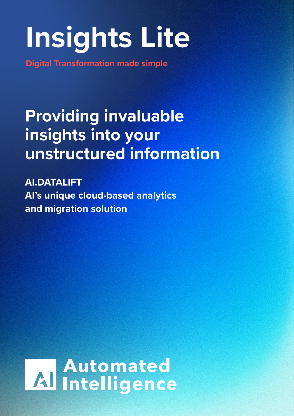## **Insights Lite**

**Digital Transformation made simple**

### **Providing invaluable insights into your unstructured information**

**AI.DATALIFT AI's unique cloud-based analytics and migration solution**

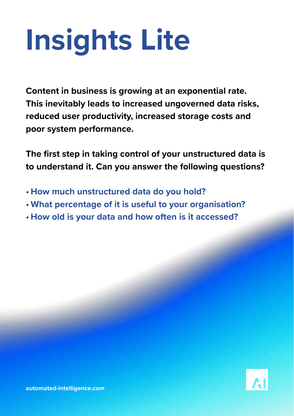# **Insights Lite**

**Content in business is growing at an exponential rate. This inevitably leads to increased ungoverned data risks, reduced user productivity, increased storage costs and poor system performance.**

**The first step in taking control of your unstructured data is to understand it. Can you answer the following questions?**

- **• How much unstructured data do you hold?**
- **• What percentage of it is useful to your organisation?**
- **• How old is your data and how often is it accessed?**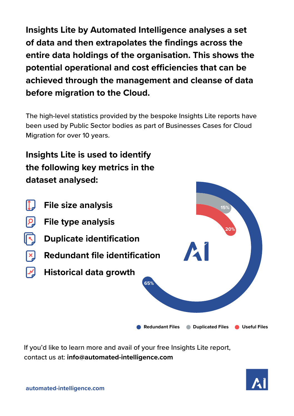**Insights Lite by Automated Intelligence analyses a set of data and then extrapolates the findings across the entire data holdings of the organisation. This shows the potential operational and cost efficiencies that can be achieved through the management and cleanse of data before migration to the Cloud.**

The high-level statistics provided by the bespoke Insights Lite reports have been used by Public Sector bodies as part of Businesses Cases for Cloud Migration for over 10 years.

#### **Insights Lite is used to identify the following key metrics in the dataset analysed:**



If you'd like to learn more and avail of your free Insights Lite report, contact us at: **info@automated-intelligence.com**